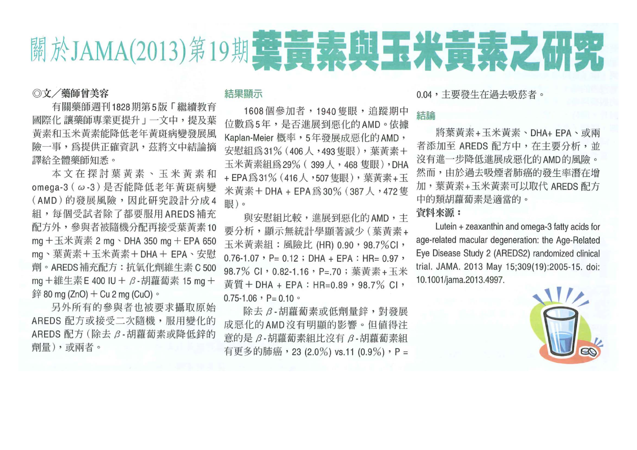

### ◎文/藥師曾美容

有關藥師週刊1828期第5版「繼續教育 國際化 讓藥師專業更提升」一文中,提及葉 黃素和玉米黃素能降低老年黃斑病變發展風 險一事,為提供正確資訊,茲將文中結論摘 譯給全體藥師知悉。

本文在探討葉黃素、玉米黃素和 omega-3 (ω-3) 是否能降低老年黃斑病變 (AMD)的發展風險,因此研究設計分成4 組,每個受試者除了都要服用AREDS補充 配方外,參與者被隨機分配再接受葉黃素10 mg + 玉米黃素 2 mg 、DHA 350 mg + EPA 650 mg、葉黃素+玉米黃素+DHA+EPA、安慰 劑。AREDS補充配方:抗氧化劑維生素 C 500 mg +維生素 E 400 IU + β - 胡蘿蔔素 15 mg + 鋅 80 mg (ZnO) + Cu 2 mg (CuO) 。

另外所有的參與者也被要求攝取原始 AREDS 配方或接受二次隨機,服用變化的 AREDS 配方 (除去 β-胡蘿蔔素或降低鋅的 劑量),或兩者。

### 結果顯示

1608個參加者,1940隻眼,追蹤期中 位數為5年,是否進展到惡化的AMD。依據 Kaplan-Meier 概率,5年發展成惡化的AMD, 安慰組為31% (406人,493隻眼),葉黃素+ 玉米黃素組為29% (399人,468隻眼),DHA + EPA 爲 31% (416 人, 507 隻眼), 葉黃素+玉 米黄素+DHA + EPA為30% (387人,472隻 眼)。

與安慰組比較,進展到惡化的AMD, 丰 要分析,顯示無統計學顯著減少 (葉黃素+ 玉米黃素組:風險比 (HR) 0.90, 98.7%Cl,  $0.76 - 1.07$  , P= 0.12 ; DHA + EPA : HR= 0.97 , 98.7% CI, 0.82-1.16, P=.70; 葉黃素+玉米 黃質+DHA + EPA: HR=0.89, 98.7% CI,  $0.75 - 1.06$  , P= 0.10  $\circ$ 

除去 β-胡蘿蔔素或低劑量鋅,對發展 成惡化的AMD沒有明顯的影響。但值得注 意的是 β-胡蘿蔔素組比沒有 β-胡蘿蔔素組 有更多的肺癌,23 (2.0%) vs.11 (0.9%),P = 0.04, 主要發生在過去吸菸者。

## 結論

將葉黃素+玉米黃素、DHA+ EPA、或兩 者添加至 AREDS 配方中, 在主要分析, 並 沒有進一步降低進展成惡化的AMD的風險。 然而,由於過去吸煙者肺癌的發生率潛在增 加,葉黃素+玉米黃素可以取代 AREDS 配方 中的類胡蘿蔔素是適當的。

# 資料來源:

Lutein + zeaxanthin and omega-3 fatty acids for age-related macular degeneration: the Age-Related Eye Disease Study 2 (AREDS2) randomized clinical trial. JAMA. 2013 May 15;309(19):2005-15. doi: 10.1001/jama.2013.4997.